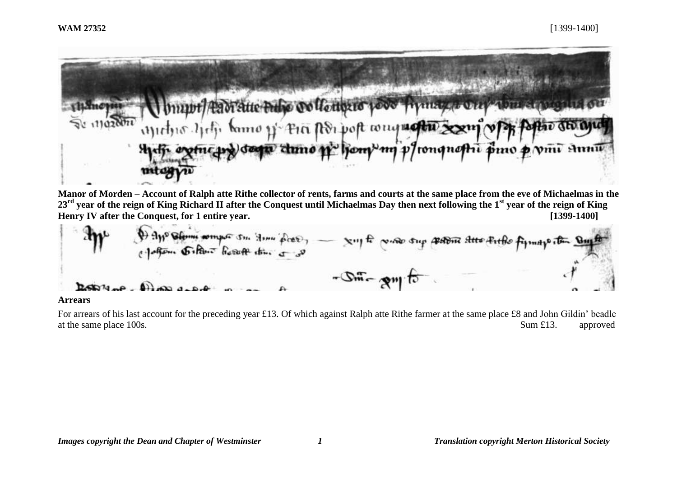

**Manor of Morden – Account of Ralph atte Rithe collector of rents, farms and courts at the same place from the eve of Michaelmas in the 23rd year of the reign of King Richard II after the Conquest until Michaelmas Day then next following the 1st year of the reign of King Henry IV after the Conquest, for 1 entire year. [1399-1400]**

**Arrears**

For arrears of his last account for the preceding year £13. Of which against Ralph atte Rithe farmer at the same place £8 and John Gildin' beadle at the same place 100s. Sum £13. approved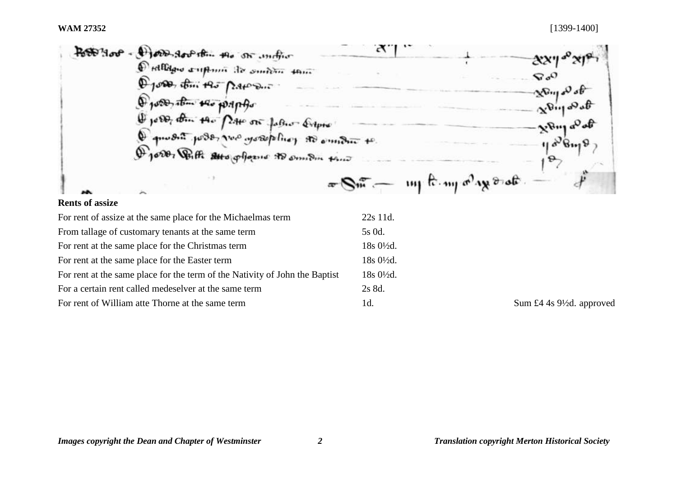

| For rent of assize at the same place for the Michaelmas term                | 22s 11d.             |
|-----------------------------------------------------------------------------|----------------------|
| From tallage of customary tenants at the same term                          | 5s 0d.               |
| For rent at the same place for the Christmas term                           | 18s 01/2d.           |
| For rent at the same place for the Easter term                              | $18s0\frac{1}{2}d$ . |
| For rent at the same place for the term of the Nativity of John the Baptist | $18s0\frac{1}{2}d$ . |
| For a certain rent called medeselver at the same term                       | 2s 8d.               |
| For rent of William atte Thorne at the same term                            | 1d.                  |

Sum £4 4s 9½d. approved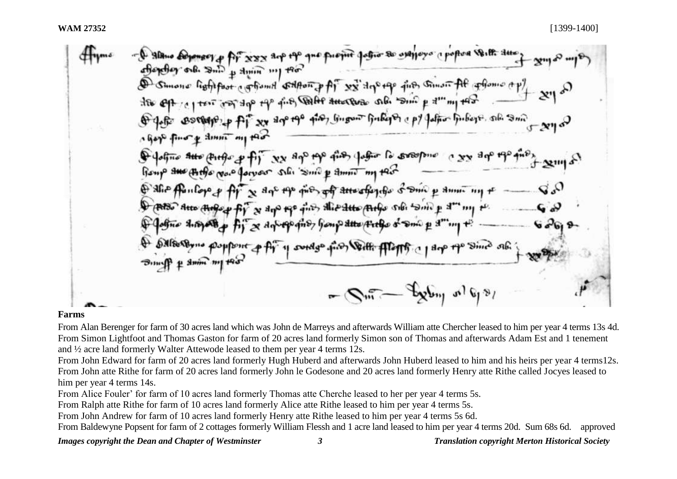#### **Farms**

From Alan Berenger for farm of 30 acres land which was John de Marreys and afterwards William atte Chercher leased to him per year 4 terms 13s 4d. From Simon Lightfoot and Thomas Gaston for farm of 20 acres land formerly Simon son of Thomas and afterwards Adam Est and 1 tenement and ½ acre land formerly Walter Attewode leased to them per year 4 terms 12s.

From John Edward for farm of 20 acres land formerly Hugh Huberd and afterwards John Huberd leased to him and his heirs per year 4 terms12s. From John atte Rithe for farm of 20 acres land formerly John le Godesone and 20 acres land formerly Henry atte Rithe called Jocyes leased to him per year 4 terms 14s.

From Alice Fouler' for farm of 10 acres land formerly Thomas atte Cherche leased to her per year 4 terms 5s.

From Ralph atte Rithe for farm of 10 acres land formerly Alice atte Rithe leased to him per year 4 terms 5s.

From John Andrew for farm of 10 acres land formerly Henry atte Rithe leased to him per year 4 terms 5s 6d.

From Baldewyne Popsent for farm of 2 cottages formerly William Flessh and 1 acre land leased to him per year 4 terms 20d. Sum 68s 6d. approved

## *Images copyright the Dean and Chapter of Westminster 3 Translation copyright Merton Historical Society*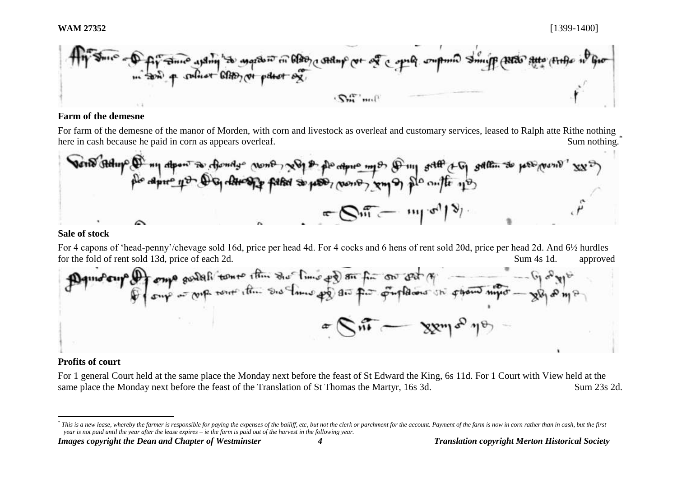

## **Farm of the demesne**

For farm of the demesne of the manor of Morden, with corn and livestock as overleaf and customary services, leased to Ralph atte Rithe nothing here in cash because he paid in corn as appears overleaf. Sum nothing.<sup>\*</sup> Sum nothing.<sup>\*</sup>

#### **Sale of stock**

For 4 capons of 'head-penny'/chevage sold 16d, price per head 4d. For 4 cocks and 6 hens of rent sold 20d, price per head 2d. And 6½ hurdles for the fold of rent sold 13d, price of each 2d. Sum 4s 1d. approved



## **Profits of court**

l

For 1 general Court held at the same place the Monday next before the feast of St Edward the King, 6s 11d. For 1 Court with View held at the same place the Monday next before the feast of the Translation of St Thomas the Martyr, 16s 3d. Sum 23s 2d.

*Images copyright the Dean and Chapter of Westminster 4 Translation copyright Merton Historical Society*

<sup>\*</sup> This is a new lease, whereby the farmer is responsible for paying the expenses of the bailiff, etc, but not the clerk or parchment for the account. Payment of the farm is now in corn rather than in cash, but the first *year is not paid until the year after the lease expires – ie the farm is paid out of the harvest in the following year.*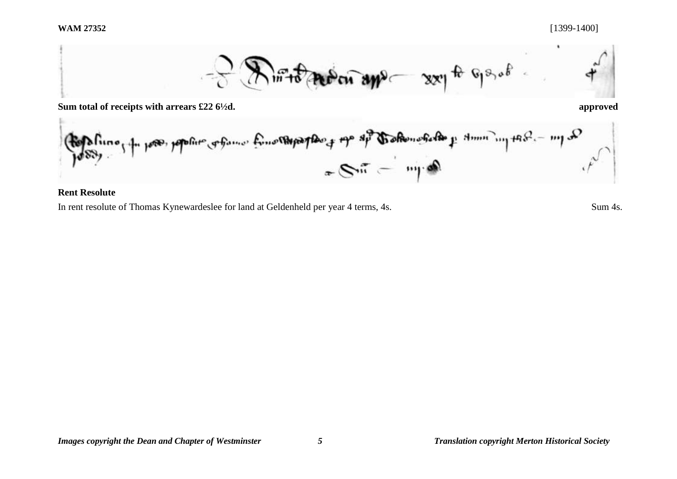

**Sum total of receipts with arrears £22 6½d. approved**

a min'ny tanàna mandritry ny taona 2008–2014. Ilay kaominina dia kaominina dia kaominina mpikambana amin'ny ta

**Rent Resolute**

In rent resolute of Thomas Kynewardeslee for land at Geldenheld per year 4 terms, 4s. Sum 4s.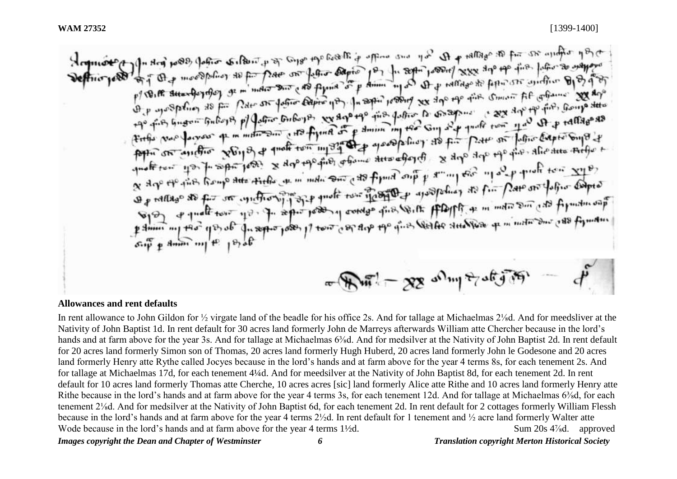added to the company of the second property of the company of the selen to the magno company company of the second<br>Department of the second company of the company of the company of the company of the second form of the com by 10° use are postal of a monetage of the company of the company of the commut the determine 200 you ding the interesting  $x_0$  in the third of the there is a the boundary of the subset of the interest of the transition of the transition of the transition of the transition of the content of the subset of the subset of th another un part soft for a dre the de in mon out of fymid out y an in the 110 per priori ton xyp. a sign of the first frame that the the wind and can there are proposed to fin part of the or the first computer<br>as rattage as for our contrary part and the term in the special as for part on the son case for the sea ente to quant inter 1 single 1000 1 j tons could the dire gette stregges to minute sur cape to man and the 1 single direction of the 1 single direction of the 1 single direction of the 1 single direction of the 1 single di  $m = 88$  and  $m = 88$ 

#### **Allowances and rent defaults**

*Images copyright the Dean and Chapter of Westminster 6 Translation copyright Merton Historical Society* In rent allowance to John Gildon for ½ virgate land of the beadle for his office 2s. And for tallage at Michaelmas 2⅛d. And for meedsliver at the Nativity of John Baptist 1d. In rent default for 30 acres land formerly John de Marreys afterwards William atte Chercher because in the lord's hands and at farm above for the year 3s. And for tallage at Michaelmas 6<sup>3</sup>/<sub>8</sub>d. And for medsilver at the Nativity of John Baptist 2d. In rent default for 20 acres land formerly Simon son of Thomas, 20 acres land formerly Hugh Huberd, 20 acres land formerly John le Godesone and 20 acres land formerly Henry atte Rythe called Jocyes because in the lord's hands and at farm above for the year 4 terms 8s, for each tenement 2s. And for tallage at Michaelmas 17d, for each tenement 4¼d. And for meedsilver at the Nativity of John Baptist 8d, for each tenement 2d. In rent default for 10 acres land formerly Thomas atte Cherche, 10 acres acres [sic] land formerly Alice atte Rithe and 10 acres land formerly Henry atte Rithe because in the lord's hands and at farm above for the year 4 terms 3s, for each tenement 12d. And for tallage at Michaelmas 6<sup>3</sup>/<sub>8</sub>d, for each tenement 2⅛d. And for medsilver at the Nativity of John Baptist 6d, for each tenement 2d. In rent default for 2 cottages formerly William Flessh because in the lord's hands and at farm above for the year 4 terms 2½d. In rent default for 1 tenement and ½ acre land formerly Walter atte Wode because in the lord's hands and at farm above for the year 4 terms 1½d. Sum 20s 4%d. approved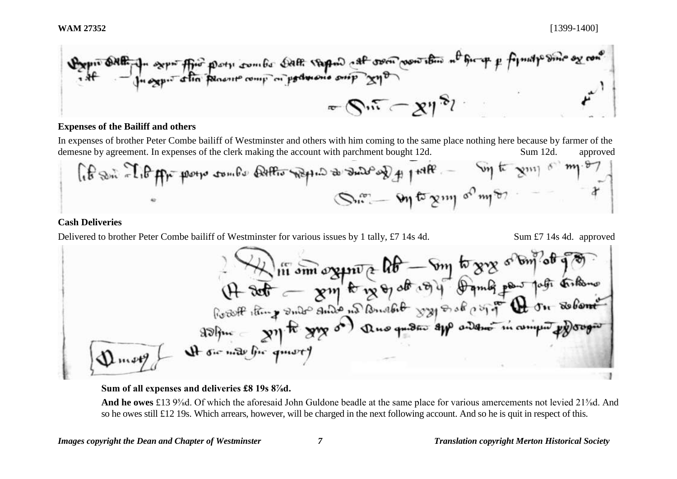Figure 6.18.1. 
$$
2\pi r^2
$$
 from the point complex plane, the point  $\theta$  is the point  $\theta$  and the point  $\theta$  is the point  $\theta$  and the point  $\theta$  is the point  $\theta$  and the point  $\theta$  is the point  $\theta$  and the point  $\theta$  is the point  $\theta$  and the point  $\theta$  is the point  $\theta$  and the point  $\theta$  is the point  $\theta$  and the point  $\theta$  is the point  $\theta$  and the point  $\theta$  is the point  $\theta$  and the point  $\theta$  is the point  $\theta$  and the point  $\theta$  is the point  $\theta$  and the point  $\theta$  is the point  $\theta$  and the point  $\theta$  is the point  $\theta$  and the point  $\theta$  is the point  $\theta$  and the point  $\theta$  is the point  $\theta$  and the point  $\theta$  is the point  $\theta$  and the point  $\theta$  is the point  $\theta$  and the point  $\theta$  is the point  $\theta$  and the point  $\theta$  is the point  $\theta$  and the point  $\theta$  is the point  $\theta$  and the point  $\theta$  is the point  $\theta$  and the point  $\theta$  is the point  $\theta$  and the point  $\theta$  is the point  $\theta$  and the point  $\theta$  is the point  $\theta$  and the point  $\theta$  is the point  $\theta$  and the point  $\theta$  is the point  $\theta$  and the point  $\theta$  is the point  $\theta$  and the point  $\theta$  is the point  $\theta$  and the point  $\theta$  is the point  $\theta$  and the point  $\theta$  is the point  $\theta$  and the point  $\theta$  is the point  $\theta$  and the point  $\theta$  is the point  $\theta$  and the point  $\theta$  is the point  $\theta$  and the point  $\theta$  is the point  $\theta$  and the point  $\theta$  is the point  $\theta$  and the point  $\theta$  is the point  $\theta$  and the point  $\theta$  is the point  $\theta$ 

## **Expenses of the Bailiff and others**

In expenses of brother Peter Combe bailiff of Westminster and others with him coming to the same place nothing here because by farmer of the demesne by agreement. In expenses of the clerk making the account with parchment bought 12d. Sum 12d. approved

$$
\int_{\mathbb{T}^d} \oint_{\mathbb{T}^d} \mathbb{E} \left[ \int_{\mathbb{T}^d} \mathbb{E} \left[ \int_{\mathbb{T}^d} \mathbb{E} \left[ \int_{\mathbb{T}^d} \mathbb{E} \left[ \int_{\mathbb{T}^d} \mathbb{E} \left[ \int_{\mathbb{T}^d} \mathbb{E} \left[ \int_{\mathbb{T}^d} \mathbb{E} \left[ \int_{\mathbb{T}^d} \mathbb{E} \left[ \int_{\mathbb{T}^d} \mathbb{E} \left[ \int_{\mathbb{T}^d} \mathbb{E} \left[ \int_{\mathbb{T}^d} \mathbb{E} \left[ \int_{\mathbb{T}^d} \mathbb{E} \left[ \int_{\mathbb{T}^d} \mathbb{E} \left[ \int_{\mathbb{T}^d} \mathbb{E} \left[ \int_{\mathbb{T}^d} \mathbb{E} \left[ \int_{\mathbb{T}^d} \mathbb{E} \left[ \int_{\mathbb{T}^d} \mathbb{E} \left[ \int_{\mathbb{T}^d} \mathbb{E} \left[ \int_{\mathbb{T}^d} \mathbb{E} \left[ \int_{\mathbb{T}^d} \mathbb{E} \left[ \int_{\mathbb{T}^d} \mathbb{E} \left[ \int_{\mathbb{T}^d} \mathbb{E} \left[ \int_{\mathbb{T}^d} \mathbb{E} \left[ \int_{\mathbb{T}^d} \mathbb{E} \left[ \int_{\mathbb{T}^d} \mathbb{E} \left[ \int_{\mathbb{T}^d} \mathbb{E} \left[ \int_{\mathbb{T}^d} \mathbb{E} \left[ \int_{\mathbb{T}^d} \mathbb{E} \left[ \int_{\mathbb{T}^d} \mathbb{E} \left[ \int_{\mathbb{T}^d} \mathbb{E} \left[ \int_{\mathbb{T}^d} \mathbb{E} \left[ \int_{\mathbb{T}^d} \mathbb{E} \left[ \int_{\mathbb{T}^d} \mathbb{E} \left[ \int_{\mathbb{T}^d} \mathbb{E} \left[ \int_{\mathbb{T}^d} \mathbb{E} \left[ \int_{\mathbb{T}^d} \mathbb{E} \left[ \int_{\mathbb{T}^d} \mathbb{E} \left[ \int_{\mathbb{T}^
$$

# **Cash Deliveries**

Delivered to brother Peter Combe bailiff of Westminster for various issues by 1 tally, £7 14s 4d. Sum £7 14s 4d. approved

\n
$$
\begin{array}{r}\n \text{where } \mathbf{u} \text{ is the same value of } \mathbf{u} \text{ is the same value of } \mathbf{u} \text{ is the same value of } \mathbf{u} \text{ is the same value of } \mathbf{u} \text{ is the same value of } \mathbf{u} \text{ is the same value of } \mathbf{u} \text{ is the same value of } \mathbf{u} \text{ is the same value of } \mathbf{u} \text{ is the same value of } \mathbf{u} \text{ is the same value of } \mathbf{u} \text{ is the same value of } \mathbf{u} \text{ is the same value of } \mathbf{u} \text{ is the same value of } \mathbf{u} \text{ is the same value of } \mathbf{u} \text{ is the same value of } \mathbf{u} \text{ is the same value of } \mathbf{u} \text{ is the same value of } \mathbf{u} \text{ is the same value of } \mathbf{u} \text{ is the same value of } \mathbf{u} \text{ is the same value of } \mathbf{u} \text{ is the same value of } \mathbf{u} \text{ is the same value of } \mathbf{u} \text{ is the same value of } \mathbf{u} \text{ is the same value of } \mathbf{u} \text{ is the same value of } \mathbf{u} \text{ is the same value of } \mathbf{u} \text{ is the same value of } \mathbf{u} \text{ is the same value of } \mathbf{u} \text{ is the same value of } \mathbf{u} \text{ is the same value of } \mathbf{u} \text{ is the same value of } \mathbf{u} \text{ is the same value of } \mathbf{u} \text{ is the same value of } \mathbf{u} \text{ is the same value of } \mathbf{u} \text{ is the same value of } \mathbf{u} \text{ is the same value of } \mathbf{u} \text{ is the same value of } \mathbf{u} \text{ is the same value of } \mathbf{u} \text{ is the same value of } \mathbf{u} \text{ is the same value of } \mathbf{u} \text{ is the same value of } \mathbf{u} \text{ is the same value of } \mathbf{u} \text{ is the same value of } \mathbf{u} \text{ is the same value of } \mathbf{u} \text{ is the same value of } \mathbf{u} \text{ is the same value of } \mathbf{u} \text{ is the same value of } \mathbf{u} \text{ is the same value of } \mathbf{u} \text{ is the same value of } \mathbf{u} \text{ is the same
$$

**Sum of all expenses and deliveries £8 19s 8⅞d.** 

**And he owes** £13 9⅝d. Of which the aforesaid John Guldone beadle at the same place for various amercements not levied 21⅝d. And so he owes still £12 19s. Which arrears, however, will be charged in the next following account. And so he is quit in respect of this.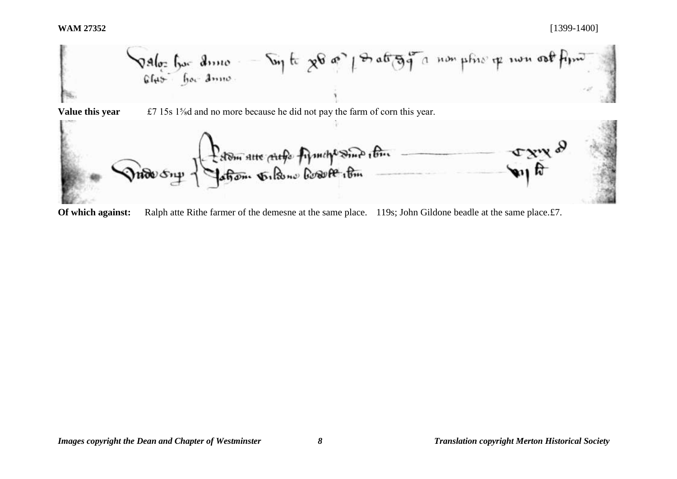

**Of which against:** Ralph atte Rithe farmer of the demesne at the same place. 119s; John Gildone beadle at the same place. £7.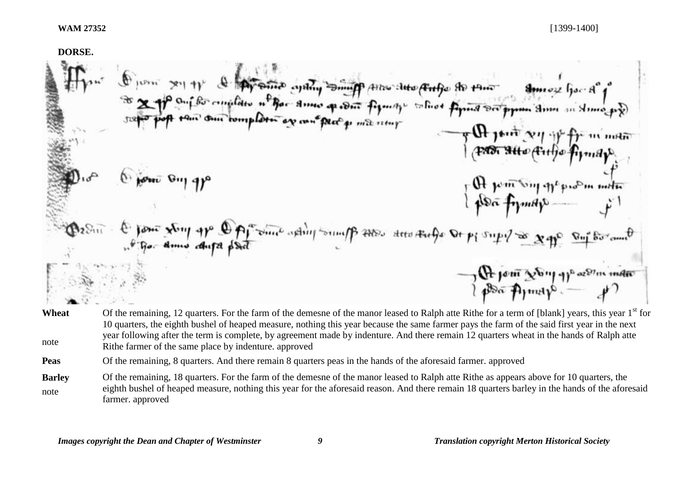**DORSE.**  O juni 2019 & Ayams and Suppose the day of the state of the to the most hard hard for a  $8$ moz hor $8^{\circ}$ PAST SHO (Fitte firmare  $60u$   $6u$  $\frac{1}{2}$  and  $\frac{1}{2}$ from your your app Opposition adding sound po 2000 deep Rufe Or pi supple x pp. Suppose and A join Non your order

- **Wheat** note Of the remaining, 12 quarters. For the farm of the demesne of the manor leased to Ralph atte Rithe for a term of [blank] years, this year  $1<sup>st</sup>$  for 10 quarters, the eighth bushel of heaped measure, nothing this year because the same farmer pays the farm of the said first year in the next year following after the term is complete, by agreement made by indenture. And there remain 12 quarters wheat in the hands of Ralph atte Rithe farmer of the same place by indenture. approved
- **Peas** Of the remaining, 8 quarters. And there remain 8 quarters peas in the hands of the aforesaid farmer. approved
- **Barley** note Of the remaining, 18 quarters. For the farm of the demesne of the manor leased to Ralph atte Rithe as appears above for 10 quarters, the eighth bushel of heaped measure, nothing this year for the aforesaid reason. And there remain 18 quarters barley in the hands of the aforesaid farmer. approved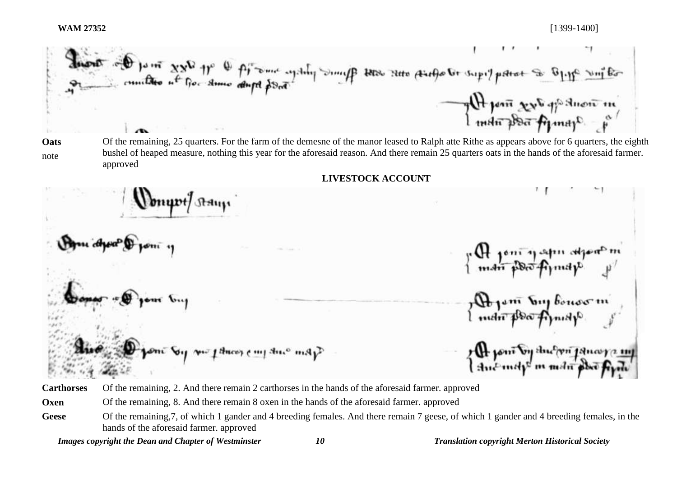Supple of paint xx for the fit was again, sump sump sure things to supplement to bliff with The point sext of the there is

**Oats** note Of the remaining, 25 quarters. For the farm of the demesne of the manor leased to Ralph atte Rithe as appears above for 6 quarters, the eighth bushel of heaped measure, nothing this year for the aforesaid reason. And there remain 25 quarters oats in the hands of the aforesaid farmer. approved

**LIVESTOCK ACCOUNT**

munt) Ashm n CH pont y aprir aspert<sup>o</sup>m<br>I mani post of prospectively 7 De jam Try bouov m<br>{ man poo Arnap om: Sy m: ftmco, c.m.j three msp? r (H joni by thu man janara.<br>{ thu map m man phù fin

**Carthorses** Of the remaining, 2. And there remain 2 carthorses in the hands of the aforesaid farmer. approved

**Oxen** Of the remaining, 8. And there remain 8 oxen in the hands of the aforesaid farmer. approved

*Images copyright the Dean and Chapter of Westminster 10 Translation copyright Merton Historical Society*

Geese Of the remaining, 7, of which 1 gander and 4 breeding females. And there remain 7 geese, of which 1 gander and 4 breeding females, in the hands of the aforesaid farmer. approved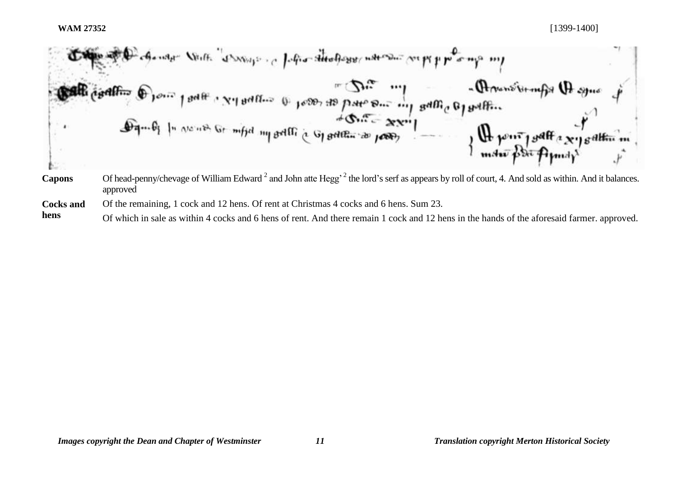

approved **Cocks and**  Of the remaining, 1 cock and 12 hens. Of rent at Christmas 4 cocks and 6 hens. Sum 23.

**hens** Of which in sale as within 4 cocks and 6 hens of rent. And there remain 1 cock and 12 hens in the hands of the aforesaid farmer. approved.